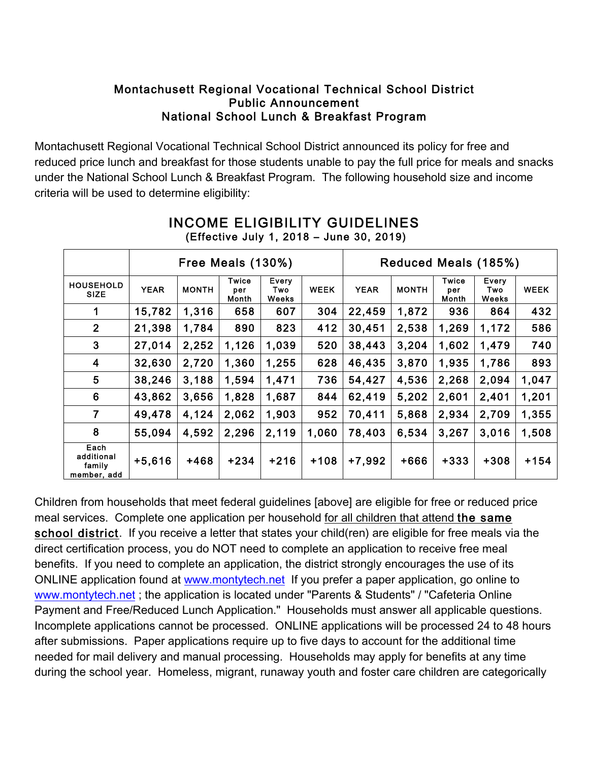## Montachusett Regional Vocational Technical School District Public Announcement National School Lunch & Breakfast Program

Montachusett Regional Vocational Technical School District announced its policy for free and reduced price lunch and breakfast for those students unable to pay the full price for meals and snacks under the National School Lunch & Breakfast Program. The following household size and income criteria will be used to determine eligibility:

|                                             | Free Meals (130%) |              |                       |                              |             | Reduced Meals (185%) |              |                       |                       |             |
|---------------------------------------------|-------------------|--------------|-----------------------|------------------------------|-------------|----------------------|--------------|-----------------------|-----------------------|-------------|
| <b>HOUSEHOLD</b><br><b>SIZE</b>             | <b>YEAR</b>       | <b>MONTH</b> | Twice<br>per<br>Month | Every<br>Two<br><b>Weeks</b> | <b>WEEK</b> | <b>YEAR</b>          | <b>MONTH</b> | Twice<br>per<br>Month | Every<br>Two<br>Weeks | <b>WEEK</b> |
| 1                                           | 15,782            | 1,316        | 658                   | 607                          | 304         | 22,459               | 1,872        | 936                   | 864                   | 432         |
| $\overline{2}$                              | 21,398            | 1,784        | 890                   | 823                          | 412         | 30,451               | 2,538        | 1,269                 | 1,172                 | 586         |
| 3                                           | 27,014            | 2,252        | 1,126                 | 1,039                        | 520         | 38,443               | 3,204        | 1,602                 | 1,479                 | 740         |
| 4                                           | 32,630            | 2,720        | 1,360                 | 1,255                        | 628         | 46,435               | 3,870        | 1,935                 | 1,786                 | 893         |
| 5                                           | 38,246            | 3,188        | 1,594                 | 1,471                        | 736         | 54,427               | 4,536        | 2,268                 | 2,094                 | 1,047       |
| 6                                           | 43,862            | 3,656        | 1,828                 | 1,687                        | 844         | 62,419               | 5,202        | 2,601                 | 2,401                 | 1,201       |
| 7                                           | 49,478            | 4,124        | 2,062                 | 1,903                        | 952         | 70,411               | 5,868        | 2,934                 | 2,709                 | 1,355       |
| 8                                           | 55,094            | 4,592        | 2,296                 | 2,119                        | 1,060       | 78,403               | 6,534        | 3,267                 | 3,016                 | 1,508       |
| Each<br>additional<br>family<br>member, add | $+5,616$          | $+468$       | $+234$                | $+216$                       | $+108$      | +7,992               | +666         | +333                  | $+308$                | $+154$      |

## INCOME ELIGIBILITY GUIDELINES (Effective July 1, 2018 – June 30, 2019)

Children from households that meet federal guidelines [above] are eligible for free or reduced price meal services. Complete one application per household for all children that attend the same school district. If you receive a letter that states your child(ren) are eligible for free meals via the direct certification process, you do NOT need to complete an application to receive free meal benefits. If you need to complete an application, the district strongly encourages the use of its ONLINE application found at www.montytech.net If you prefer a paper application, go online to www.montytech.net; the application is located under "Parents & Students" / "Cafeteria Online Payment and Free/Reduced Lunch Application." Households must answer all applicable questions. Incomplete applications cannot be processed. ONLINE applications will be processed 24 to 48 hours after submissions. Paper applications require up to five days to account for the additional time needed for mail delivery and manual processing. Households may apply for benefits at any time during the school year. Homeless, migrant, runaway youth and foster care children are categorically